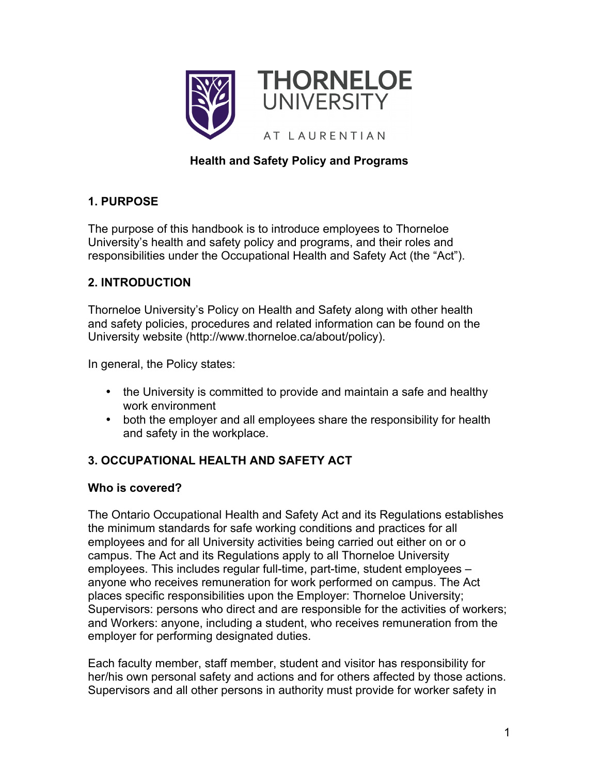

# **Health and Safety Policy and Programs**

## **1. PURPOSE**

The purpose of this handbook is to introduce employees to Thorneloe University's health and safety policy and programs, and their roles and responsibilities under the Occupational Health and Safety Act (the "Act").

## **2. INTRODUCTION**

Thorneloe University's Policy on Health and Safety along with other health and safety policies, procedures and related information can be found on the University website (http://www.thorneloe.ca/about/policy).

In general, the Policy states:

- the University is committed to provide and maintain a safe and healthy work environment
- both the employer and all employees share the responsibility for health and safety in the workplace.

# **3. OCCUPATIONAL HEALTH AND SAFETY ACT**

### **Who is covered?**

The Ontario Occupational Health and Safety Act and its Regulations establishes the minimum standards for safe working conditions and practices for all employees and for all University activities being carried out either on or o campus. The Act and its Regulations apply to all Thorneloe University employees. This includes regular full-time, part-time, student employees – anyone who receives remuneration for work performed on campus. The Act places specific responsibilities upon the Employer: Thorneloe University; Supervisors: persons who direct and are responsible for the activities of workers; and Workers: anyone, including a student, who receives remuneration from the employer for performing designated duties.

Each faculty member, staff member, student and visitor has responsibility for her/his own personal safety and actions and for others affected by those actions. Supervisors and all other persons in authority must provide for worker safety in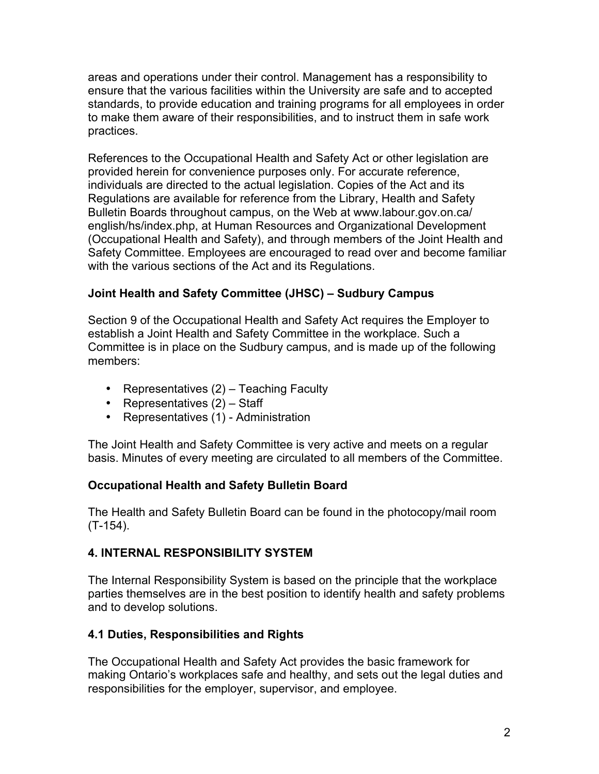areas and operations under their control. Management has a responsibility to ensure that the various facilities within the University are safe and to accepted standards, to provide education and training programs for all employees in order to make them aware of their responsibilities, and to instruct them in safe work practices.

References to the Occupational Health and Safety Act or other legislation are provided herein for convenience purposes only. For accurate reference, individuals are directed to the actual legislation. Copies of the Act and its Regulations are available for reference from the Library, Health and Safety Bulletin Boards throughout campus, on the Web at www.labour.gov.on.ca/ english/hs/index.php, at Human Resources and Organizational Development (Occupational Health and Safety), and through members of the Joint Health and Safety Committee. Employees are encouraged to read over and become familiar with the various sections of the Act and its Regulations.

## **Joint Health and Safety Committee (JHSC) – Sudbury Campus**

Section 9 of the Occupational Health and Safety Act requires the Employer to establish a Joint Health and Safety Committee in the workplace. Such a Committee is in place on the Sudbury campus, and is made up of the following members:

- Representatives (2) Teaching Faculty
- Representatives (2) Staff
- Representatives (1) Administration

The Joint Health and Safety Committee is very active and meets on a regular basis. Minutes of every meeting are circulated to all members of the Committee.

# **Occupational Health and Safety Bulletin Board**

The Health and Safety Bulletin Board can be found in the photocopy/mail room (T-154).

# **4. INTERNAL RESPONSIBILITY SYSTEM**

The Internal Responsibility System is based on the principle that the workplace parties themselves are in the best position to identify health and safety problems and to develop solutions.

# **4.1 Duties, Responsibilities and Rights**

The Occupational Health and Safety Act provides the basic framework for making Ontario's workplaces safe and healthy, and sets out the legal duties and responsibilities for the employer, supervisor, and employee.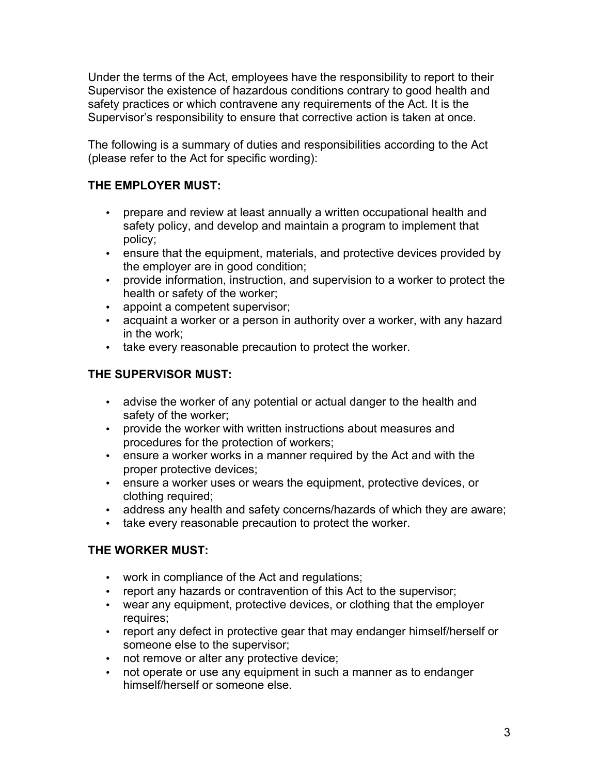Under the terms of the Act, employees have the responsibility to report to their Supervisor the existence of hazardous conditions contrary to good health and safety practices or which contravene any requirements of the Act. It is the Supervisor's responsibility to ensure that corrective action is taken at once.

The following is a summary of duties and responsibilities according to the Act (please refer to the Act for specific wording):

## **THE EMPLOYER MUST:**

- prepare and review at least annually a written occupational health and safety policy, and develop and maintain a program to implement that policy;
- ensure that the equipment, materials, and protective devices provided by the employer are in good condition;
- provide information, instruction, and supervision to a worker to protect the health or safety of the worker;
- appoint a competent supervisor;
- acquaint a worker or a person in authority over a worker, with any hazard in the work;
- take every reasonable precaution to protect the worker.

## **THE SUPERVISOR MUST:**

- advise the worker of any potential or actual danger to the health and safety of the worker;
- provide the worker with written instructions about measures and procedures for the protection of workers;
- ensure a worker works in a manner required by the Act and with the proper protective devices;
- ensure a worker uses or wears the equipment, protective devices, or clothing required;
- address any health and safety concerns/hazards of which they are aware;
- take every reasonable precaution to protect the worker.

### **THE WORKER MUST:**

- work in compliance of the Act and regulations;
- report any hazards or contravention of this Act to the supervisor;
- wear any equipment, protective devices, or clothing that the employer requires;
- report any defect in protective gear that may endanger himself/herself or someone else to the supervisor;
- not remove or alter any protective device;
- not operate or use any equipment in such a manner as to endanger himself/herself or someone else.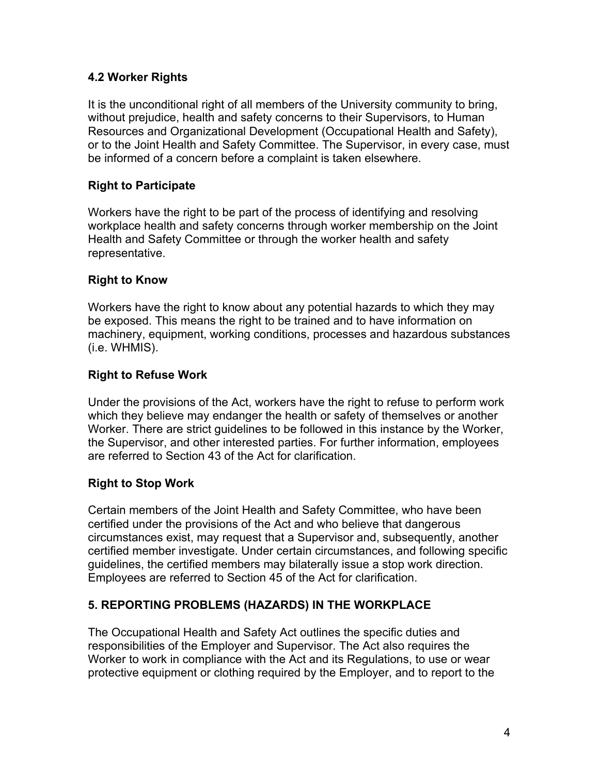### **4.2 Worker Rights**

It is the unconditional right of all members of the University community to bring, without prejudice, health and safety concerns to their Supervisors, to Human Resources and Organizational Development (Occupational Health and Safety), or to the Joint Health and Safety Committee. The Supervisor, in every case, must be informed of a concern before a complaint is taken elsewhere.

### **Right to Participate**

Workers have the right to be part of the process of identifying and resolving workplace health and safety concerns through worker membership on the Joint Health and Safety Committee or through the worker health and safety representative.

#### **Right to Know**

Workers have the right to know about any potential hazards to which they may be exposed. This means the right to be trained and to have information on machinery, equipment, working conditions, processes and hazardous substances (i.e. WHMIS).

#### **Right to Refuse Work**

Under the provisions of the Act, workers have the right to refuse to perform work which they believe may endanger the health or safety of themselves or another Worker. There are strict guidelines to be followed in this instance by the Worker, the Supervisor, and other interested parties. For further information, employees are referred to Section 43 of the Act for clarification.

### **Right to Stop Work**

Certain members of the Joint Health and Safety Committee, who have been certified under the provisions of the Act and who believe that dangerous circumstances exist, may request that a Supervisor and, subsequently, another certified member investigate. Under certain circumstances, and following specific guidelines, the certified members may bilaterally issue a stop work direction. Employees are referred to Section 45 of the Act for clarification.

### **5. REPORTING PROBLEMS (HAZARDS) IN THE WORKPLACE**

The Occupational Health and Safety Act outlines the specific duties and responsibilities of the Employer and Supervisor. The Act also requires the Worker to work in compliance with the Act and its Regulations, to use or wear protective equipment or clothing required by the Employer, and to report to the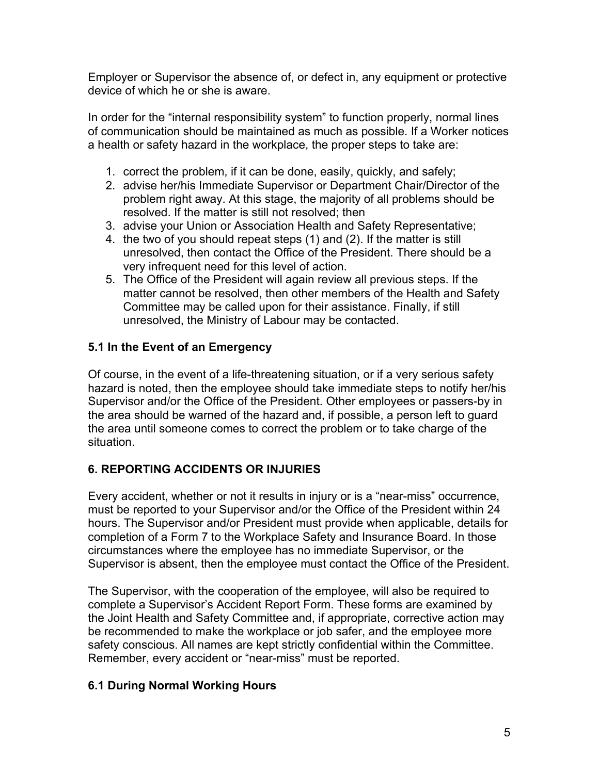Employer or Supervisor the absence of, or defect in, any equipment or protective device of which he or she is aware.

In order for the "internal responsibility system" to function properly, normal lines of communication should be maintained as much as possible. If a Worker notices a health or safety hazard in the workplace, the proper steps to take are:

- 1. correct the problem, if it can be done, easily, quickly, and safely;
- 2. advise her/his Immediate Supervisor or Department Chair/Director of the problem right away. At this stage, the majority of all problems should be resolved. If the matter is still not resolved; then
- 3. advise your Union or Association Health and Safety Representative;
- 4. the two of you should repeat steps (1) and (2). If the matter is still unresolved, then contact the Office of the President. There should be a very infrequent need for this level of action.
- 5. The Office of the President will again review all previous steps. If the matter cannot be resolved, then other members of the Health and Safety Committee may be called upon for their assistance. Finally, if still unresolved, the Ministry of Labour may be contacted.

## **5.1 In the Event of an Emergency**

Of course, in the event of a life-threatening situation, or if a very serious safety hazard is noted, then the employee should take immediate steps to notify her/his Supervisor and/or the Office of the President. Other employees or passers-by in the area should be warned of the hazard and, if possible, a person left to guard the area until someone comes to correct the problem or to take charge of the situation.

### **6. REPORTING ACCIDENTS OR INJURIES**

Every accident, whether or not it results in injury or is a "near-miss" occurrence, must be reported to your Supervisor and/or the Office of the President within 24 hours. The Supervisor and/or President must provide when applicable, details for completion of a Form 7 to the Workplace Safety and Insurance Board. In those circumstances where the employee has no immediate Supervisor, or the Supervisor is absent, then the employee must contact the Office of the President.

The Supervisor, with the cooperation of the employee, will also be required to complete a Supervisor's Accident Report Form. These forms are examined by the Joint Health and Safety Committee and, if appropriate, corrective action may be recommended to make the workplace or job safer, and the employee more safety conscious. All names are kept strictly confidential within the Committee. Remember, every accident or "near-miss" must be reported.

### **6.1 During Normal Working Hours**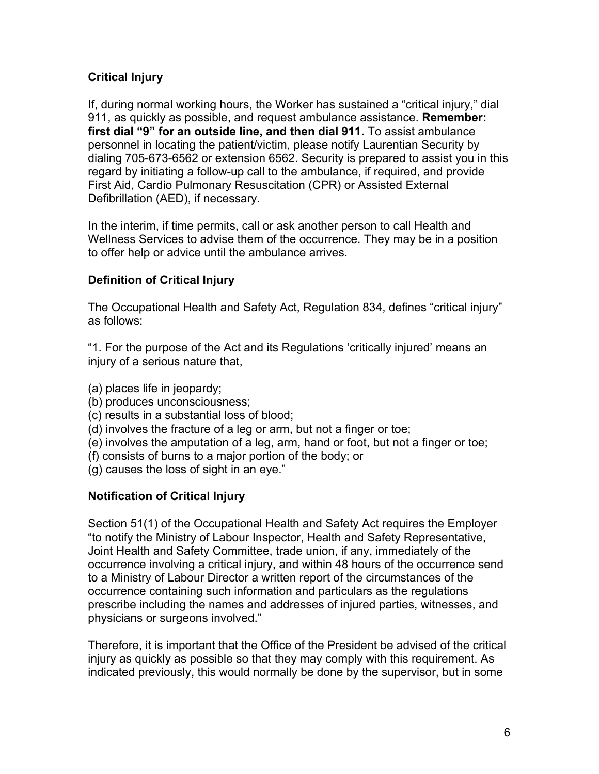## **Critical Injury**

If, during normal working hours, the Worker has sustained a "critical injury," dial 911, as quickly as possible, and request ambulance assistance. **Remember: first dial "9" for an outside line, and then dial 911.** To assist ambulance personnel in locating the patient/victim, please notify Laurentian Security by dialing 705-673-6562 or extension 6562. Security is prepared to assist you in this regard by initiating a follow-up call to the ambulance, if required, and provide First Aid, Cardio Pulmonary Resuscitation (CPR) or Assisted External Defibrillation (AED), if necessary.

In the interim, if time permits, call or ask another person to call Health and Wellness Services to advise them of the occurrence. They may be in a position to offer help or advice until the ambulance arrives.

### **Definition of Critical Injury**

The Occupational Health and Safety Act, Regulation 834, defines "critical injury" as follows:

"1. For the purpose of the Act and its Regulations 'critically injured' means an injury of a serious nature that,

- (a) places life in jeopardy;
- (b) produces unconsciousness;
- (c) results in a substantial loss of blood;
- (d) involves the fracture of a leg or arm, but not a finger or toe;
- (e) involves the amputation of a leg, arm, hand or foot, but not a finger or toe;
- (f) consists of burns to a major portion of the body; or
- (g) causes the loss of sight in an eye."

### **Notification of Critical Injury**

Section 51(1) of the Occupational Health and Safety Act requires the Employer "to notify the Ministry of Labour Inspector, Health and Safety Representative, Joint Health and Safety Committee, trade union, if any, immediately of the occurrence involving a critical injury, and within 48 hours of the occurrence send to a Ministry of Labour Director a written report of the circumstances of the occurrence containing such information and particulars as the regulations prescribe including the names and addresses of injured parties, witnesses, and physicians or surgeons involved."

Therefore, it is important that the Office of the President be advised of the critical injury as quickly as possible so that they may comply with this requirement. As indicated previously, this would normally be done by the supervisor, but in some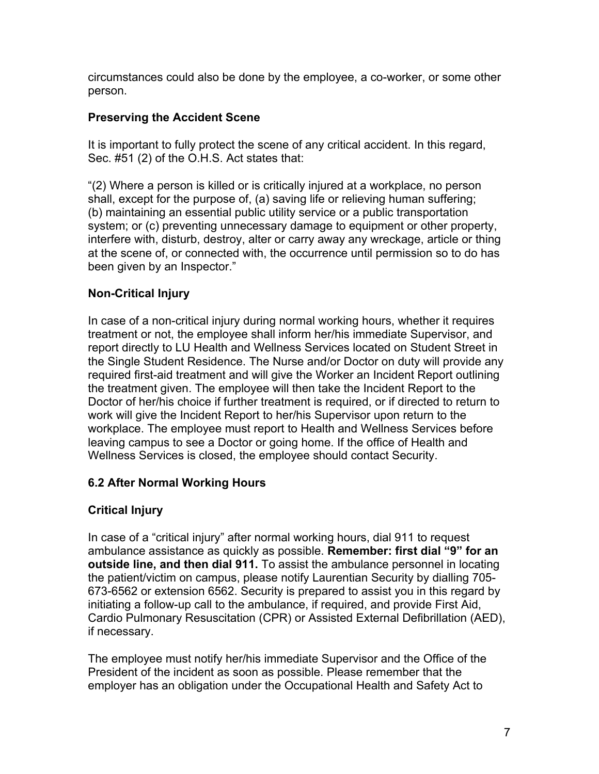circumstances could also be done by the employee, a co-worker, or some other person.

### **Preserving the Accident Scene**

It is important to fully protect the scene of any critical accident. In this regard, Sec. #51 (2) of the O.H.S. Act states that:

"(2) Where a person is killed or is critically injured at a workplace, no person shall, except for the purpose of, (a) saving life or relieving human suffering; (b) maintaining an essential public utility service or a public transportation system; or (c) preventing unnecessary damage to equipment or other property, interfere with, disturb, destroy, alter or carry away any wreckage, article or thing at the scene of, or connected with, the occurrence until permission so to do has been given by an Inspector."

## **Non-Critical Injury**

In case of a non-critical injury during normal working hours, whether it requires treatment or not, the employee shall inform her/his immediate Supervisor, and report directly to LU Health and Wellness Services located on Student Street in the Single Student Residence. The Nurse and/or Doctor on duty will provide any required first-aid treatment and will give the Worker an Incident Report outlining the treatment given. The employee will then take the Incident Report to the Doctor of her/his choice if further treatment is required, or if directed to return to work will give the Incident Report to her/his Supervisor upon return to the workplace. The employee must report to Health and Wellness Services before leaving campus to see a Doctor or going home. If the office of Health and Wellness Services is closed, the employee should contact Security.

### **6.2 After Normal Working Hours**

# **Critical Injury**

In case of a "critical injury" after normal working hours, dial 911 to request ambulance assistance as quickly as possible. **Remember: first dial "9" for an outside line, and then dial 911.** To assist the ambulance personnel in locating the patient/victim on campus, please notify Laurentian Security by dialling 705- 673-6562 or extension 6562. Security is prepared to assist you in this regard by initiating a follow-up call to the ambulance, if required, and provide First Aid, Cardio Pulmonary Resuscitation (CPR) or Assisted External Defibrillation (AED), if necessary.

The employee must notify her/his immediate Supervisor and the Office of the President of the incident as soon as possible. Please remember that the employer has an obligation under the Occupational Health and Safety Act to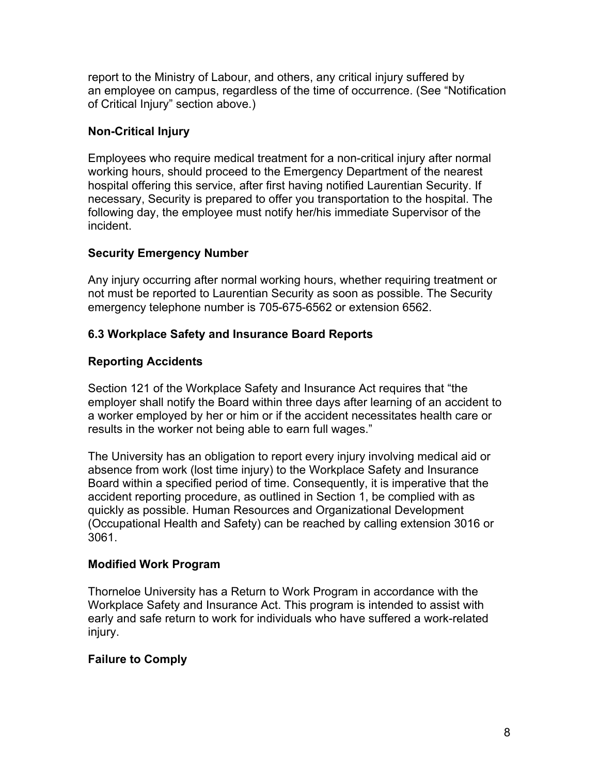report to the Ministry of Labour, and others, any critical injury suffered by an employee on campus, regardless of the time of occurrence. (See "Notification of Critical Injury" section above.)

### **Non-Critical Injury**

Employees who require medical treatment for a non-critical injury after normal working hours, should proceed to the Emergency Department of the nearest hospital offering this service, after first having notified Laurentian Security. If necessary, Security is prepared to offer you transportation to the hospital. The following day, the employee must notify her/his immediate Supervisor of the incident.

## **Security Emergency Number**

Any injury occurring after normal working hours, whether requiring treatment or not must be reported to Laurentian Security as soon as possible. The Security emergency telephone number is 705-675-6562 or extension 6562.

## **6.3 Workplace Safety and Insurance Board Reports**

## **Reporting Accidents**

Section 121 of the Workplace Safety and Insurance Act requires that "the employer shall notify the Board within three days after learning of an accident to a worker employed by her or him or if the accident necessitates health care or results in the worker not being able to earn full wages."

The University has an obligation to report every injury involving medical aid or absence from work (lost time injury) to the Workplace Safety and Insurance Board within a specified period of time. Consequently, it is imperative that the accident reporting procedure, as outlined in Section 1, be complied with as quickly as possible. Human Resources and Organizational Development (Occupational Health and Safety) can be reached by calling extension 3016 or 3061.

### **Modified Work Program**

Thorneloe University has a Return to Work Program in accordance with the Workplace Safety and Insurance Act. This program is intended to assist with early and safe return to work for individuals who have suffered a work-related injury.

### **Failure to Comply**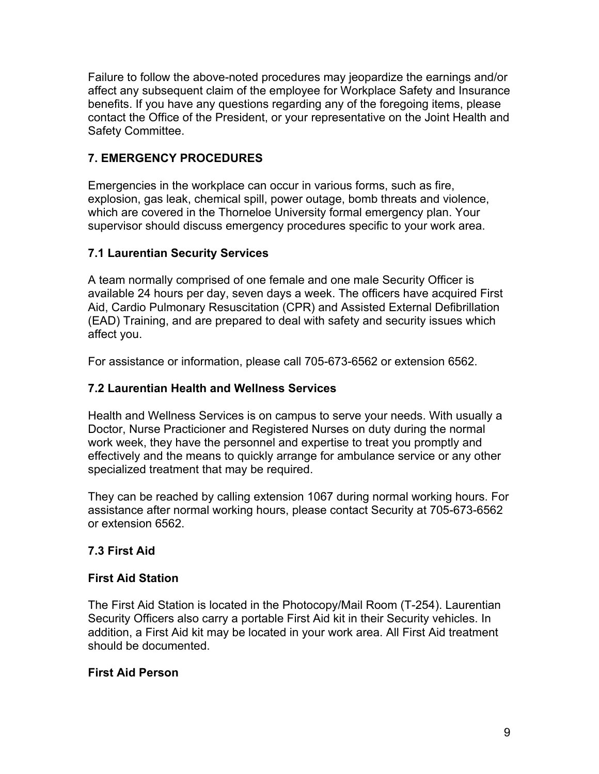Failure to follow the above-noted procedures may jeopardize the earnings and/or affect any subsequent claim of the employee for Workplace Safety and Insurance benefits. If you have any questions regarding any of the foregoing items, please contact the Office of the President, or your representative on the Joint Health and Safety Committee.

## **7. EMERGENCY PROCEDURES**

Emergencies in the workplace can occur in various forms, such as fire, explosion, gas leak, chemical spill, power outage, bomb threats and violence, which are covered in the Thorneloe University formal emergency plan. Your supervisor should discuss emergency procedures specific to your work area.

### **7.1 Laurentian Security Services**

A team normally comprised of one female and one male Security Officer is available 24 hours per day, seven days a week. The officers have acquired First Aid, Cardio Pulmonary Resuscitation (CPR) and Assisted External Defibrillation (EAD) Training, and are prepared to deal with safety and security issues which affect you.

For assistance or information, please call 705-673-6562 or extension 6562.

### **7.2 Laurentian Health and Wellness Services**

Health and Wellness Services is on campus to serve your needs. With usually a Doctor, Nurse Practicioner and Registered Nurses on duty during the normal work week, they have the personnel and expertise to treat you promptly and effectively and the means to quickly arrange for ambulance service or any other specialized treatment that may be required.

They can be reached by calling extension 1067 during normal working hours. For assistance after normal working hours, please contact Security at 705-673-6562 or extension 6562.

### **7.3 First Aid**

### **First Aid Station**

The First Aid Station is located in the Photocopy/Mail Room (T-254). Laurentian Security Officers also carry a portable First Aid kit in their Security vehicles. In addition, a First Aid kit may be located in your work area. All First Aid treatment should be documented.

### **First Aid Person**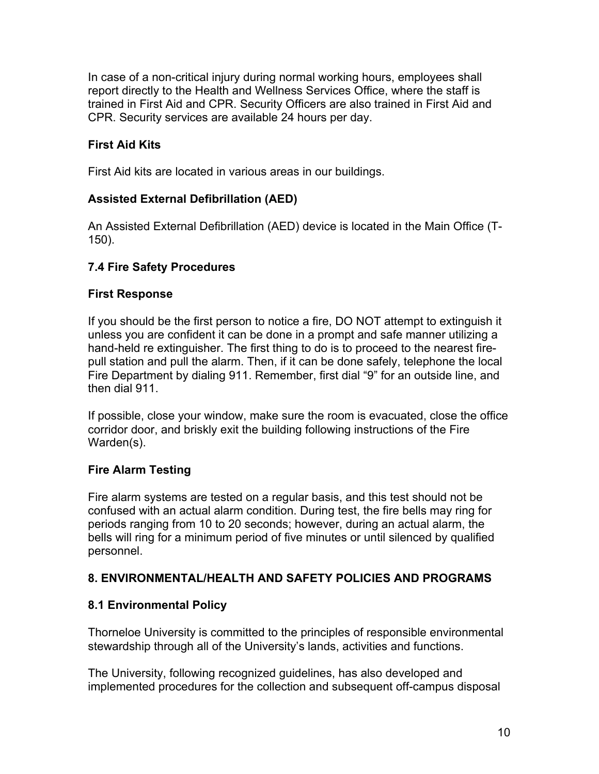In case of a non-critical injury during normal working hours, employees shall report directly to the Health and Wellness Services Office, where the staff is trained in First Aid and CPR. Security Officers are also trained in First Aid and CPR. Security services are available 24 hours per day.

### **First Aid Kits**

First Aid kits are located in various areas in our buildings.

## **Assisted External Defibrillation (AED)**

An Assisted External Defibrillation (AED) device is located in the Main Office (T-150).

### **7.4 Fire Safety Procedures**

#### **First Response**

If you should be the first person to notice a fire, DO NOT attempt to extinguish it unless you are confident it can be done in a prompt and safe manner utilizing a hand-held re extinguisher. The first thing to do is to proceed to the nearest firepull station and pull the alarm. Then, if it can be done safely, telephone the local Fire Department by dialing 911. Remember, first dial "9" for an outside line, and then dial 911.

If possible, close your window, make sure the room is evacuated, close the office corridor door, and briskly exit the building following instructions of the Fire Warden(s).

### **Fire Alarm Testing**

Fire alarm systems are tested on a regular basis, and this test should not be confused with an actual alarm condition. During test, the fire bells may ring for periods ranging from 10 to 20 seconds; however, during an actual alarm, the bells will ring for a minimum period of five minutes or until silenced by qualified personnel.

### **8. ENVIRONMENTAL/HEALTH AND SAFETY POLICIES AND PROGRAMS**

### **8.1 Environmental Policy**

Thorneloe University is committed to the principles of responsible environmental stewardship through all of the University's lands, activities and functions.

The University, following recognized guidelines, has also developed and implemented procedures for the collection and subsequent off-campus disposal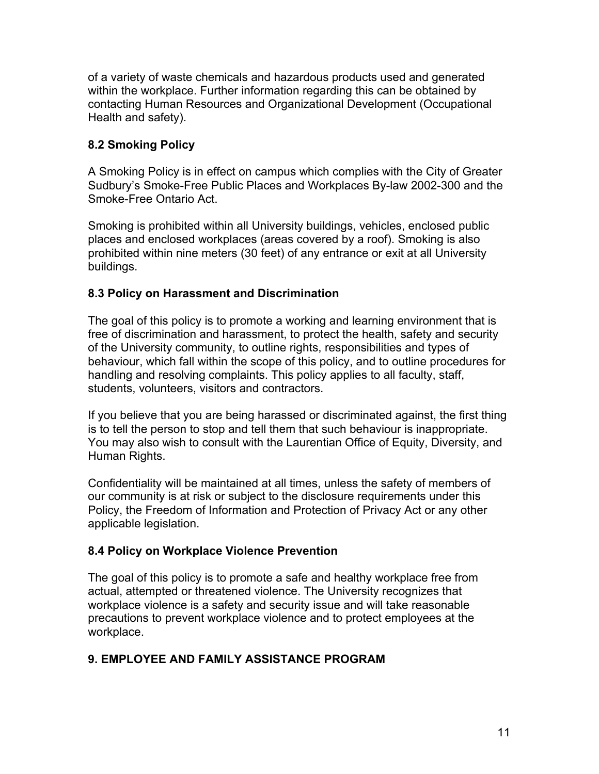of a variety of waste chemicals and hazardous products used and generated within the workplace. Further information regarding this can be obtained by contacting Human Resources and Organizational Development (Occupational Health and safety).

### **8.2 Smoking Policy**

A Smoking Policy is in effect on campus which complies with the City of Greater Sudbury's Smoke-Free Public Places and Workplaces By-law 2002-300 and the Smoke-Free Ontario Act.

Smoking is prohibited within all University buildings, vehicles, enclosed public places and enclosed workplaces (areas covered by a roof). Smoking is also prohibited within nine meters (30 feet) of any entrance or exit at all University buildings.

### **8.3 Policy on Harassment and Discrimination**

The goal of this policy is to promote a working and learning environment that is free of discrimination and harassment, to protect the health, safety and security of the University community, to outline rights, responsibilities and types of behaviour, which fall within the scope of this policy, and to outline procedures for handling and resolving complaints. This policy applies to all faculty, staff, students, volunteers, visitors and contractors.

If you believe that you are being harassed or discriminated against, the first thing is to tell the person to stop and tell them that such behaviour is inappropriate. You may also wish to consult with the Laurentian Office of Equity, Diversity, and Human Rights.

Confidentiality will be maintained at all times, unless the safety of members of our community is at risk or subject to the disclosure requirements under this Policy, the Freedom of Information and Protection of Privacy Act or any other applicable legislation.

### **8.4 Policy on Workplace Violence Prevention**

The goal of this policy is to promote a safe and healthy workplace free from actual, attempted or threatened violence. The University recognizes that workplace violence is a safety and security issue and will take reasonable precautions to prevent workplace violence and to protect employees at the workplace.

### **9. EMPLOYEE AND FAMILY ASSISTANCE PROGRAM**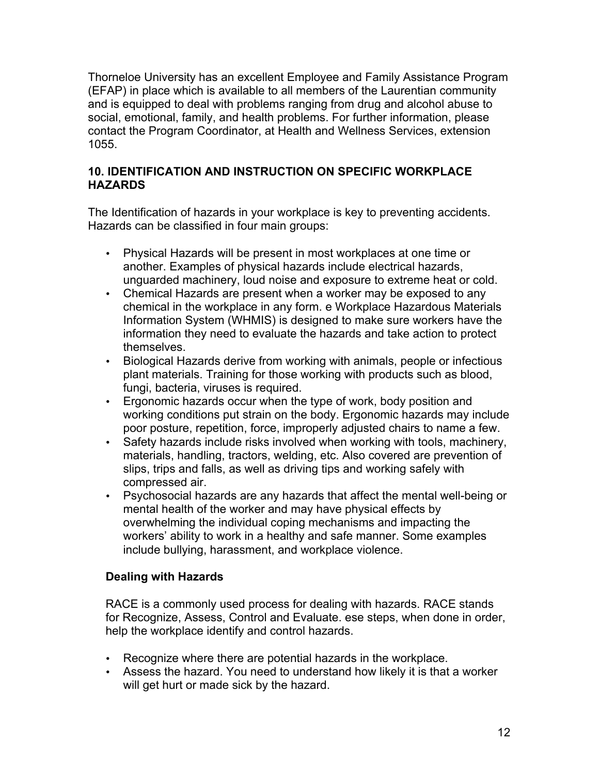Thorneloe University has an excellent Employee and Family Assistance Program (EFAP) in place which is available to all members of the Laurentian community and is equipped to deal with problems ranging from drug and alcohol abuse to social, emotional, family, and health problems. For further information, please contact the Program Coordinator, at Health and Wellness Services, extension 1055.

### **10. IDENTIFICATION AND INSTRUCTION ON SPECIFIC WORKPLACE HAZARDS**

The Identification of hazards in your workplace is key to preventing accidents. Hazards can be classified in four main groups:

- Physical Hazards will be present in most workplaces at one time or another. Examples of physical hazards include electrical hazards, unguarded machinery, loud noise and exposure to extreme heat or cold.
- Chemical Hazards are present when a worker may be exposed to any chemical in the workplace in any form. e Workplace Hazardous Materials Information System (WHMIS) is designed to make sure workers have the information they need to evaluate the hazards and take action to protect themselves.
- Biological Hazards derive from working with animals, people or infectious plant materials. Training for those working with products such as blood, fungi, bacteria, viruses is required.
- Ergonomic hazards occur when the type of work, body position and working conditions put strain on the body. Ergonomic hazards may include poor posture, repetition, force, improperly adjusted chairs to name a few.
- Safety hazards include risks involved when working with tools, machinery, materials, handling, tractors, welding, etc. Also covered are prevention of slips, trips and falls, as well as driving tips and working safely with compressed air.
- Psychosocial hazards are any hazards that affect the mental well-being or mental health of the worker and may have physical effects by overwhelming the individual coping mechanisms and impacting the workers' ability to work in a healthy and safe manner. Some examples include bullying, harassment, and workplace violence.

# **Dealing with Hazards**

RACE is a commonly used process for dealing with hazards. RACE stands for Recognize, Assess, Control and Evaluate. ese steps, when done in order, help the workplace identify and control hazards.

- Recognize where there are potential hazards in the workplace.
- Assess the hazard. You need to understand how likely it is that a worker will get hurt or made sick by the hazard.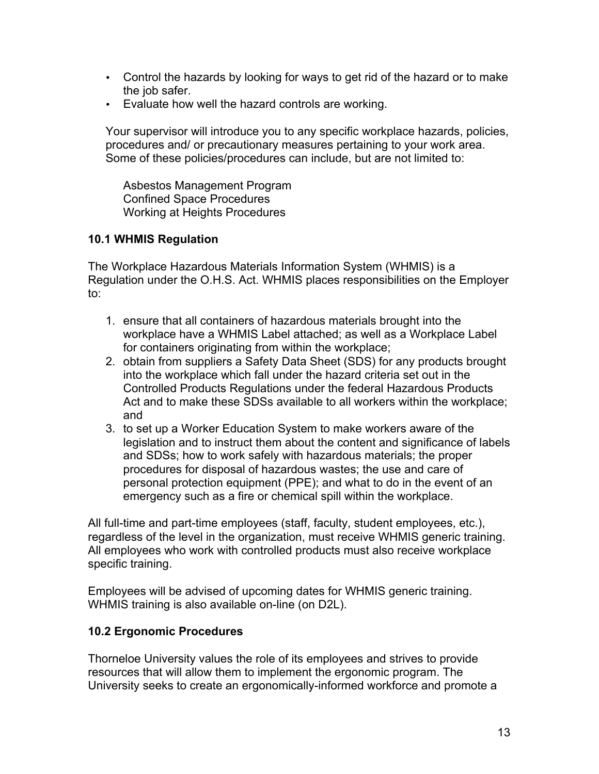- Control the hazards by looking for ways to get rid of the hazard or to make the job safer.
- Evaluate how well the hazard controls are working.

Your supervisor will introduce you to any specific workplace hazards, policies, procedures and/ or precautionary measures pertaining to your work area. Some of these policies/procedures can include, but are not limited to:

Asbestos Management Program Confined Space Procedures Working at Heights Procedures

#### **10.1 WHMIS Regulation**

The Workplace Hazardous Materials Information System (WHMIS) is a Regulation under the O.H.S. Act. WHMIS places responsibilities on the Employer to:

- 1. ensure that all containers of hazardous materials brought into the workplace have a WHMIS Label attached; as well as a Workplace Label for containers originating from within the workplace;
- 2. obtain from suppliers a Safety Data Sheet (SDS) for any products brought into the workplace which fall under the hazard criteria set out in the Controlled Products Regulations under the federal Hazardous Products Act and to make these SDSs available to all workers within the workplace; and
- 3. to set up a Worker Education System to make workers aware of the legislation and to instruct them about the content and significance of labels and SDSs; how to work safely with hazardous materials; the proper procedures for disposal of hazardous wastes; the use and care of personal protection equipment (PPE); and what to do in the event of an emergency such as a fire or chemical spill within the workplace.

All full-time and part-time employees (staff, faculty, student employees, etc.), regardless of the level in the organization, must receive WHMIS generic training. All employees who work with controlled products must also receive workplace specific training.

Employees will be advised of upcoming dates for WHMIS generic training. WHMIS training is also available on-line (on D2L).

### **10.2 Ergonomic Procedures**

Thorneloe University values the role of its employees and strives to provide resources that will allow them to implement the ergonomic program. The University seeks to create an ergonomically-informed workforce and promote a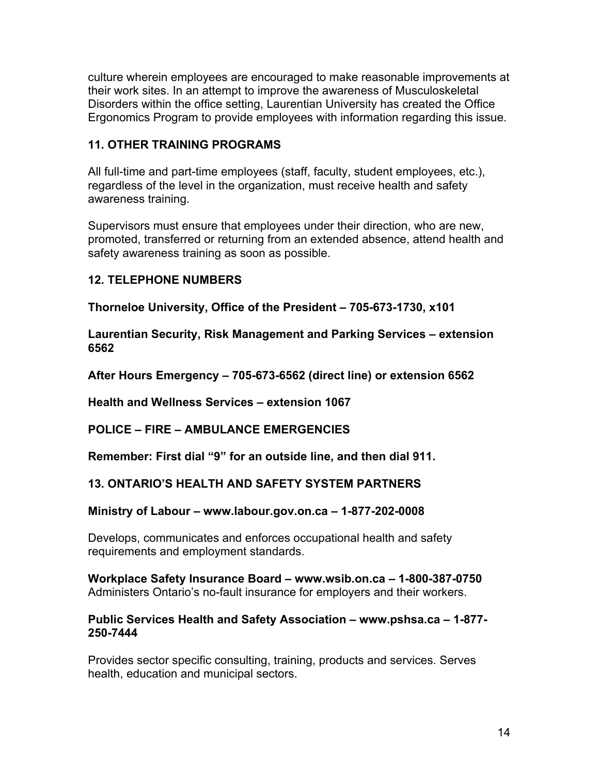culture wherein employees are encouraged to make reasonable improvements at their work sites. In an attempt to improve the awareness of Musculoskeletal Disorders within the office setting, Laurentian University has created the Office Ergonomics Program to provide employees with information regarding this issue.

### **11. OTHER TRAINING PROGRAMS**

All full-time and part-time employees (staff, faculty, student employees, etc.), regardless of the level in the organization, must receive health and safety awareness training.

Supervisors must ensure that employees under their direction, who are new, promoted, transferred or returning from an extended absence, attend health and safety awareness training as soon as possible.

#### **12. TELEPHONE NUMBERS**

**Thorneloe University, Office of the President – 705-673-1730, x101**

**Laurentian Security, Risk Management and Parking Services – extension 6562** 

**After Hours Emergency – 705-673-6562 (direct line) or extension 6562** 

**Health and Wellness Services – extension 1067** 

**POLICE – FIRE – AMBULANCE EMERGENCIES** 

**Remember: First dial "9" for an outside line, and then dial 911.** 

### **13. ONTARIO'S HEALTH AND SAFETY SYSTEM PARTNERS**

#### **Ministry of Labour – www.labour.gov.on.ca – 1-877-202-0008**

Develops, communicates and enforces occupational health and safety requirements and employment standards.

**Workplace Safety Insurance Board – www.wsib.on.ca – 1-800-387-0750**  Administers Ontario's no-fault insurance for employers and their workers.

#### **Public Services Health and Safety Association – www.pshsa.ca – 1-877- 250-7444**

Provides sector specific consulting, training, products and services. Serves health, education and municipal sectors.